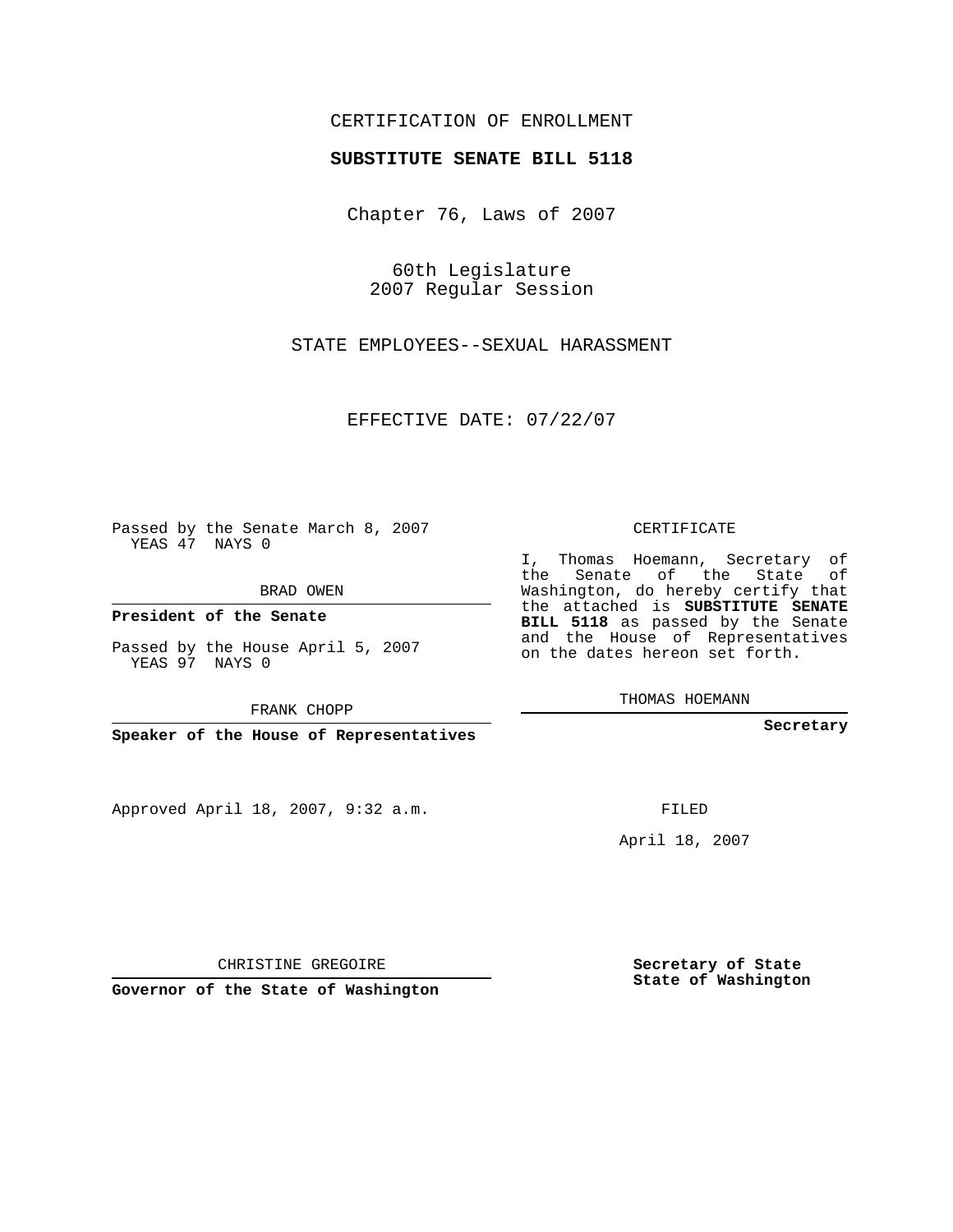## CERTIFICATION OF ENROLLMENT

## **SUBSTITUTE SENATE BILL 5118**

Chapter 76, Laws of 2007

60th Legislature 2007 Regular Session

STATE EMPLOYEES--SEXUAL HARASSMENT

EFFECTIVE DATE: 07/22/07

Passed by the Senate March 8, 2007 YEAS 47 NAYS 0

BRAD OWEN

**President of the Senate**

Passed by the House April 5, 2007 YEAS 97 NAYS 0

FRANK CHOPP

**Speaker of the House of Representatives**

Approved April 18, 2007, 9:32 a.m.

CERTIFICATE

I, Thomas Hoemann, Secretary of the Senate of the State of Washington, do hereby certify that the attached is **SUBSTITUTE SENATE BILL 5118** as passed by the Senate and the House of Representatives on the dates hereon set forth.

THOMAS HOEMANN

**Secretary**

FILED

April 18, 2007

**Secretary of State State of Washington**

**Governor of the State of Washington**

CHRISTINE GREGOIRE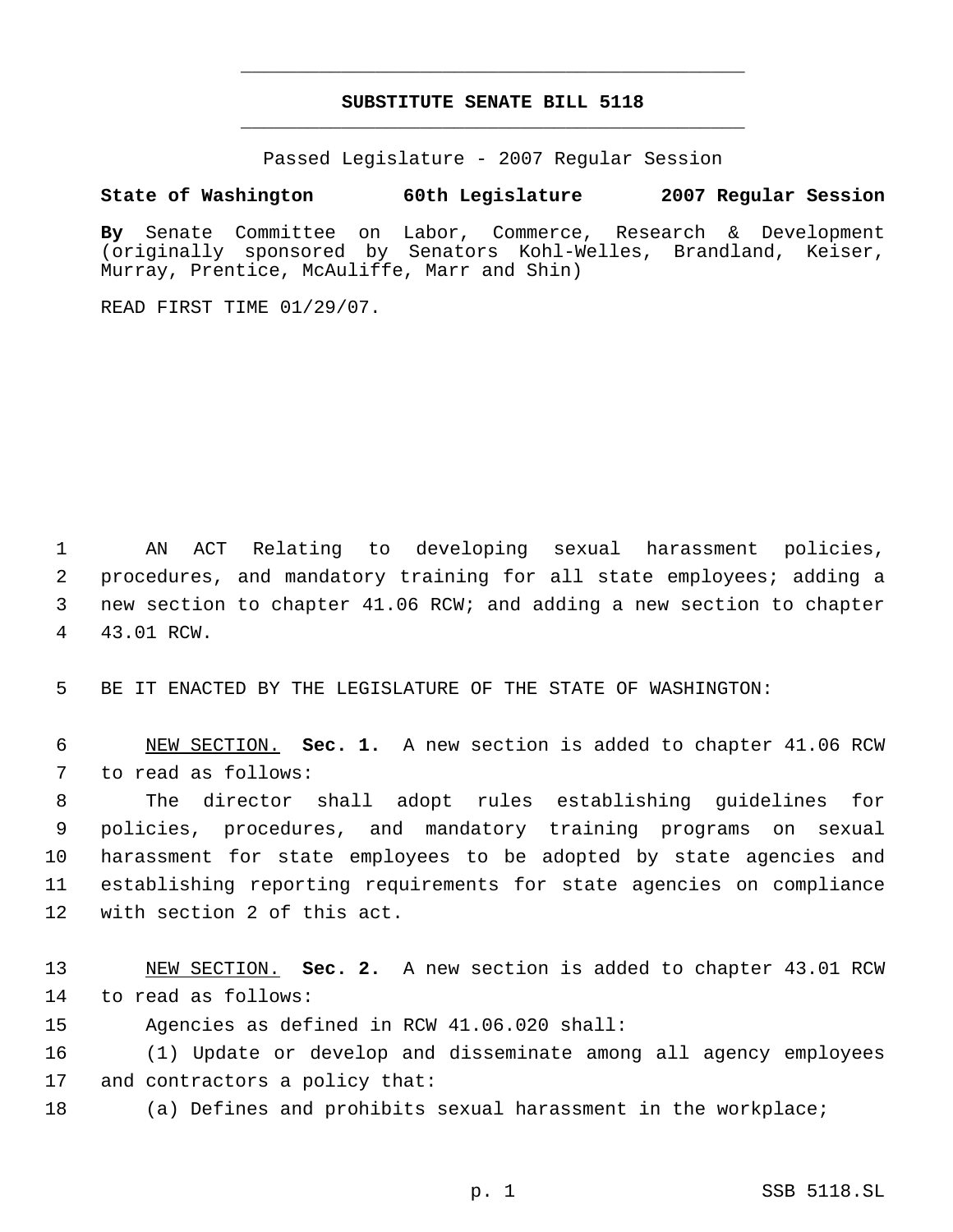## **SUBSTITUTE SENATE BILL 5118** \_\_\_\_\_\_\_\_\_\_\_\_\_\_\_\_\_\_\_\_\_\_\_\_\_\_\_\_\_\_\_\_\_\_\_\_\_\_\_\_\_\_\_\_\_

\_\_\_\_\_\_\_\_\_\_\_\_\_\_\_\_\_\_\_\_\_\_\_\_\_\_\_\_\_\_\_\_\_\_\_\_\_\_\_\_\_\_\_\_\_

Passed Legislature - 2007 Regular Session

**State of Washington 60th Legislature 2007 Regular Session**

**By** Senate Committee on Labor, Commerce, Research & Development (originally sponsored by Senators Kohl-Welles, Brandland, Keiser, Murray, Prentice, McAuliffe, Marr and Shin)

READ FIRST TIME 01/29/07.

 AN ACT Relating to developing sexual harassment policies, procedures, and mandatory training for all state employees; adding a new section to chapter 41.06 RCW; and adding a new section to chapter 43.01 RCW.

BE IT ENACTED BY THE LEGISLATURE OF THE STATE OF WASHINGTON:

 NEW SECTION. **Sec. 1.** A new section is added to chapter 41.06 RCW to read as follows:

 The director shall adopt rules establishing guidelines for policies, procedures, and mandatory training programs on sexual harassment for state employees to be adopted by state agencies and establishing reporting requirements for state agencies on compliance with section 2 of this act.

 NEW SECTION. **Sec. 2.** A new section is added to chapter 43.01 RCW to read as follows:

Agencies as defined in RCW 41.06.020 shall:

 (1) Update or develop and disseminate among all agency employees and contractors a policy that:

(a) Defines and prohibits sexual harassment in the workplace;